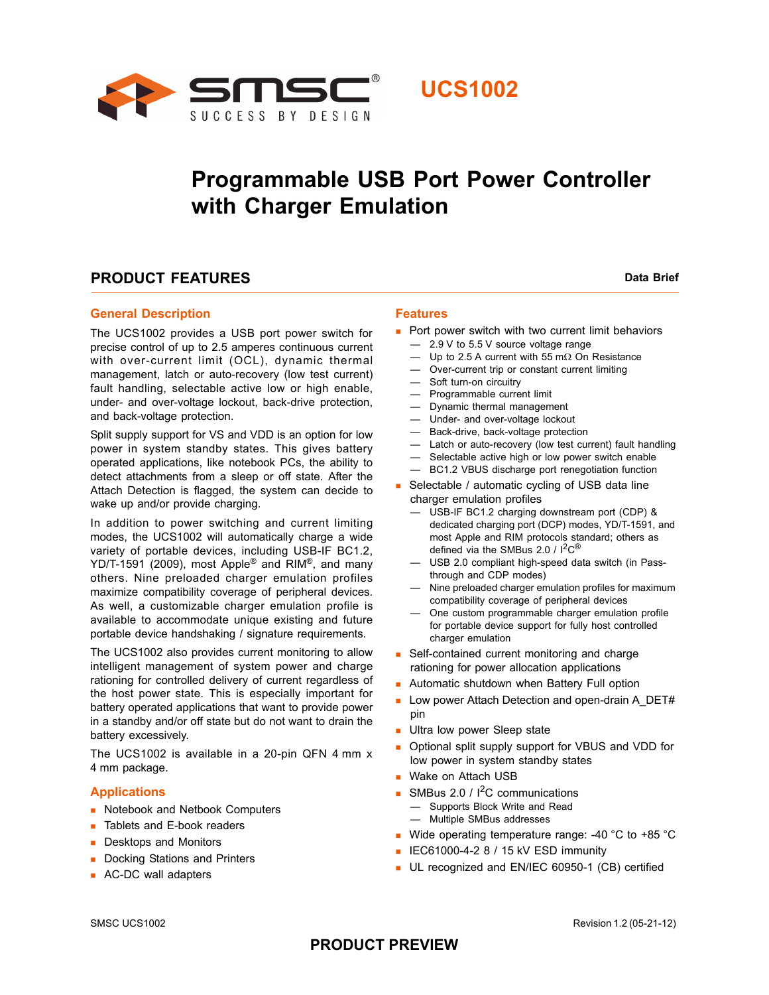



## **Programmable USB Port Power Controller with Charger Emulation**

### **PRODUCT FEATURES** Data Brief

### **General Description**

The UCS1002 provides a USB port power switch for precise control of up to 2.5 amperes continuous current with over-current limit (OCL), dynamic thermal management, latch or auto-recovery (low test current) fault handling, selectable active low or high enable, under- and over-voltage lockout, back-drive protection, and back-voltage protection.

Split supply support for VS and VDD is an option for low power in system standby states. This gives battery operated applications, like notebook PCs, the ability to detect attachments from a sleep or off state. After the Attach Detection is flagged, the system can decide to wake up and/or provide charging.

In addition to power switching and current limiting modes, the UCS1002 will automatically charge a wide variety of portable devices, including USB-IF BC1.2, YD/T-1591 (2009), most Apple<sup>®</sup> and RIM<sup>®</sup>, and many others. Nine preloaded charger emulation profiles maximize compatibility coverage of peripheral devices. As well, a customizable charger emulation profile is available to accommodate unique existing and future portable device handshaking / signature requirements.

The UCS1002 also provides current monitoring to allow intelligent management of system power and charge rationing for controlled delivery of current regardless of the host power state. This is especially important for battery operated applications that want to provide power in a standby and/or off state but do not want to drain the battery excessively.

The UCS1002 is available in a 20-pin QFN 4 mm x 4 mm package.

#### **Applications**

- Notebook and Netbook Computers
- **Tablets and E-book readers**
- **Desktops and Monitors**
- Docking Stations and Printers
- **AC-DC wall adapters**

#### **Features**

- Port power switch with two current limit behaviors
	- 2.9 V to 5.5 V source voltage range
	- Up to 2.5 A current with 55 m $\Omega$  On Resistance
	- Over-current trip or constant current limiting
	- Soft turn-on circuitry
	- Programmable current limit
	- Dynamic thermal management
	- Under- and over-voltage lockout
	- Back-drive, back-voltage protection
	- Latch or auto-recovery (low test current) fault handling
	- Selectable active high or low power switch enable
	- BC1.2 VBUS discharge port renegotiation function
- Selectable / automatic cycling of USB data line charger emulation profiles
	- USB-IF BC1.2 charging downstream port (CDP) & dedicated charging port (DCP) modes, YD/T-1591, and most Apple and RIM protocols standard; others as defined via the SMBus 2.0 /  $1^2C^{\circledR}$
	- USB 2.0 compliant high-speed data switch (in Passthrough and CDP modes)
	- Nine preloaded charger emulation profiles for maximum compatibility coverage of peripheral devices
	- One custom programmable charger emulation profile for portable device support for fully host controlled charger emulation
- Self-contained current monitoring and charge rationing for power allocation applications
- **Automatic shutdown when Battery Full option**
- Low power Attach Detection and open-drain A\_DET# pin
- **Ultra low power Sleep state**
- Optional split supply support for VBUS and VDD for low power in system standby states
- **Wake on Attach USB**
- SMBus 2.0 /  $I^2C$  communications
	- Supports Block Write and Read
	- Multiple SMBus addresses
- Wide operating temperature range: -40 °C to +85 °C
- $\blacksquare$  IEC61000-4-2 8 / 15 kV ESD immunity
- UL recognized and EN/IEC 60950-1 (CB) certified

### **PRODUCT PREVIEW**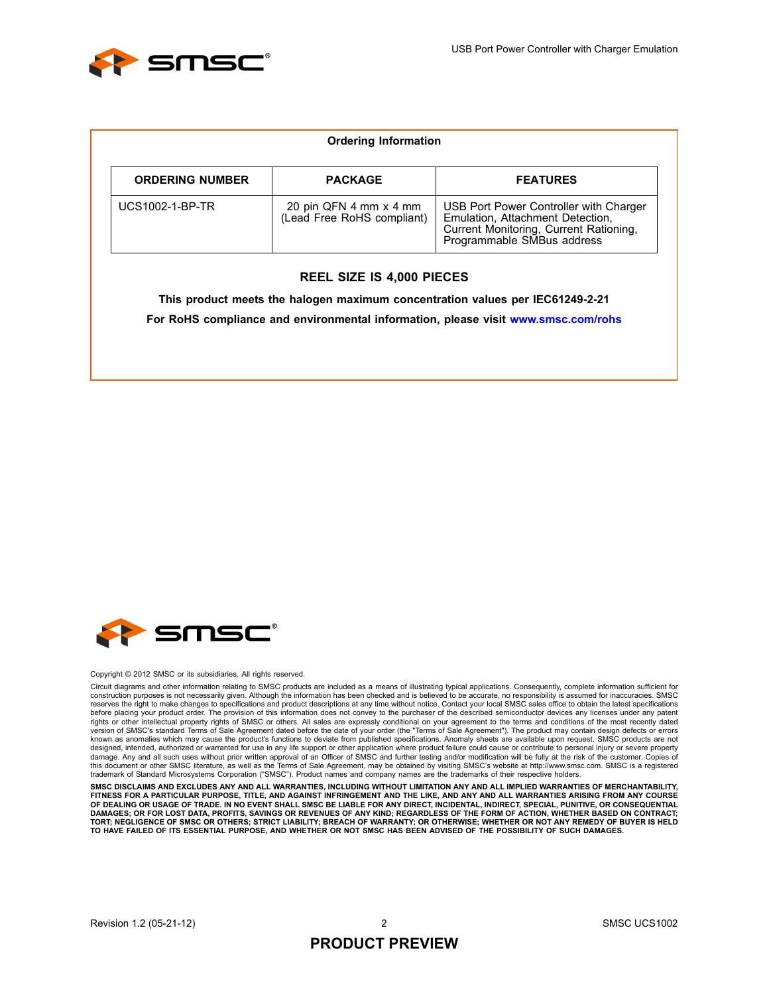

|                        | <b>Ordering Information</b>                          |                                                                                                                                                    |
|------------------------|------------------------------------------------------|----------------------------------------------------------------------------------------------------------------------------------------------------|
| <b>ORDERING NUMBER</b> | <b>PACKAGE</b>                                       | <b>FEATURES</b>                                                                                                                                    |
| <b>UCS1002-1-BP-TR</b> | 20 pin QFN 4 mm x 4 mm<br>(Lead Free RoHS compliant) | USB Port Power Controller with Charger<br>Emulation, Attachment Detection,<br>Current Monitoring, Current Rationing,<br>Programmable SMBus address |

#### **REEL SIZE IS 4,000 PIECES**

**This product meets the halogen maximum concentration values per IEC61249-2-21 For RoHS compliance and environmental information, please visit www.smsc.com/rohs**



#### Copyright © 2012 SMSC or its subsidiaries. All rights reserved.

Circuit diagrams and other information relating to SMSC products are included as a means of illustrating typical applications. Consequently, complete information sufficient for construction purposes is not necessarily given. Although the information has been checked and is believed to be accurate, no responsibility is assumed for inaccuracies. SMSC<br>reserves the right to make changes to specificat before placing your product order. The provision of this information does not convey to the purchaser of the described semiconductor devices any licenses under any patent rights or other intellectual property rights of SMSC or others. All sales are expressly conditional on your agreement to the terms and conditions of the most recently dated<br>version of SMSC's standard Terms of Sale Agreemen known as anomalies which may cause the product's functions to deviate from published specifications. Anomaly sheets are available upon request. SMSC products are not designed, intended, authorized or warranted for use in any life support or other application where product failure could cause or contribute to personal injury or severe property<br>damage. Any and all such uses without prior this document or other SMSC literature, as well as the Terms of Sale Agreement, may be obtained by visiting SMSC's website at http://www.smsc.com. SMSC is a registered trademark of Standard Microsystems Corporation ("SMSC"). Product names and company names are the trademarks of their respective holders.

**SMSC DISCLAIMS AND EXCLUDES ANY AND ALL WARRANTIES, INCLUDING WITHOUT LIMITATION ANY AND ALL IMPLIED WARRANTIES OF MERCHANTABILITY,** FITNESS FOR A PARTICULAR PURPOSE, TITLE, AND AGAINST INFRINGEMENT AND THE LIKE, AND ANY AND ALL WARRANTIES ARISING FROM ANY COURSE<br>OF DEALING OR USAGE OF TRADE. IN NO EVENT SHALL SMSC BE LIABLE FOR ANY DIRECT, INCIDENTAL, **TORT; NEGLIGENCE OF SMSC OR OTHERS; STRICT LIABILITY; BREACH OF WARRANTY; OR OTHERWISE; WHETHER OR NOT ANY REMEDY OF BUYER IS HELD TO HAVE FAILED OF ITS ESSENTIAL PURPOSE, AND WHETHER OR NOT SMSC HAS BEEN ADVISED OF THE POSSIBILITY OF SUCH DAMAGES.**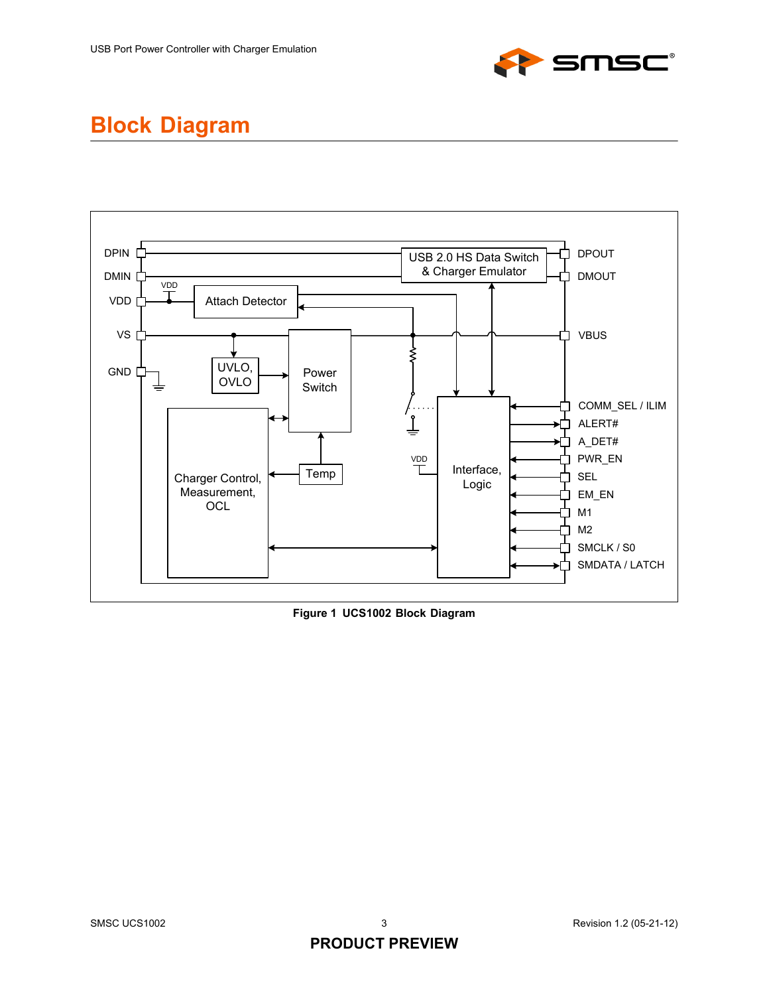

## **Block Diagram**



**Figure 1 UCS1002 Block Diagram**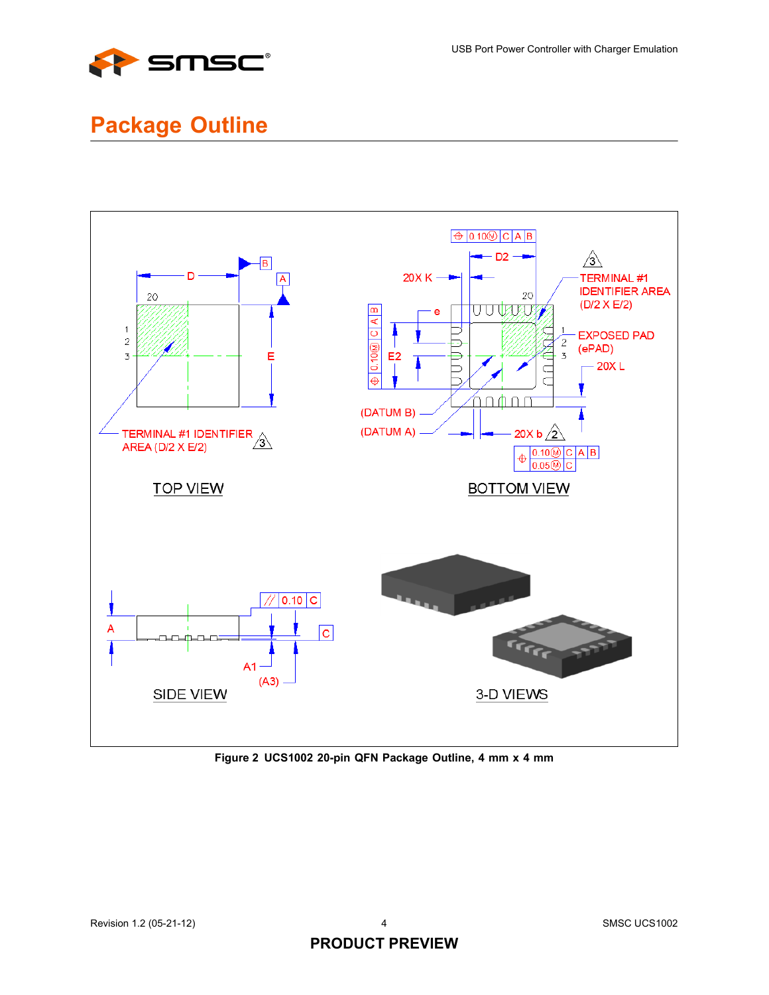

## **Package Outline**



**Figure 2 UCS1002 20-pin QFN Package Outline, 4 mm x 4 mm**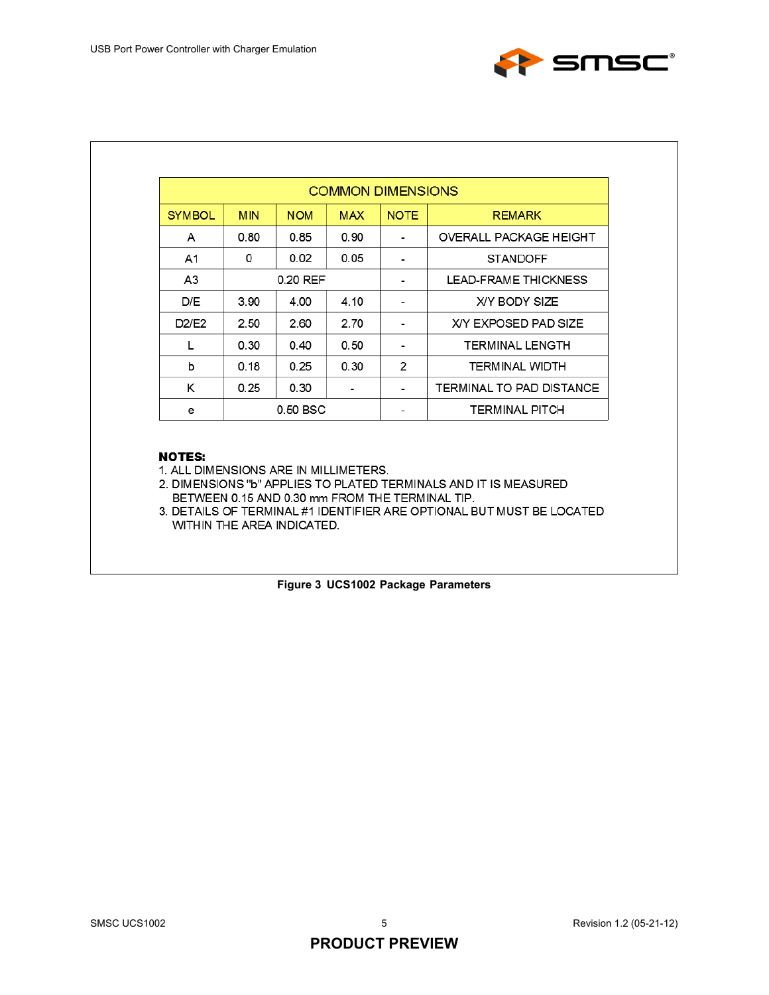

| <b>COMMON DIMENSIONS</b> |            |            |            |                      |                               |  |
|--------------------------|------------|------------|------------|----------------------|-------------------------------|--|
| <b>SYMBOL</b>            | <b>MIN</b> | <b>NOM</b> | <b>MAX</b> | <b>NOTE</b>          | <b>REMARK</b>                 |  |
| A                        | 0.80       | 0.85       | 0.90       | $\blacksquare$       | <b>OVERALL PACKAGE HEIGHT</b> |  |
| A1                       | 0          | 0.02       | 0.05       |                      | <b>STANDOFF</b>               |  |
| A3                       | 0.20 REF   |            |            | LEAD-FRAME THICKNESS |                               |  |
| D/E                      | 3.90       | 4.00       | 4.10       |                      | X/Y BODY SIZE                 |  |
| D2/E2                    | 2.50       | 2.60       | 2.70       |                      | X/Y EXPOSED PAD SIZE          |  |
|                          | 0.30       | 0.40       | 0.50       |                      | TERMINAL LENGTH               |  |
| b                        | 0.18       | 0.25       | 0.30       | 2                    | <b>TERMINAL WIDTH</b>         |  |
| Κ                        | 0.25       | 0.30       |            |                      | TERMINAL TO PAD DISTANCE      |  |
| е                        | $0.50$ BSC |            |            |                      | <b>TERMINAL PITCH</b>         |  |

### **NOTES:**

1. ALL DIMENSIONS ARE IN MILLIMETERS.

2. DIMENSIONS "b" APPLIES TO PLATED TERMINALS AND IT IS MEASURED BETWEEN 0.15 AND 0.30 mm FROM THE TERMINAL TIP.

3. DETAILS OF TERMINAL #1 IDENTIFIER ARE OPTIONAL BUT MUST BE LOCATED WITHIN THE AREA INDICATED.

**Figure 3 UCS1002 Package Parameters**